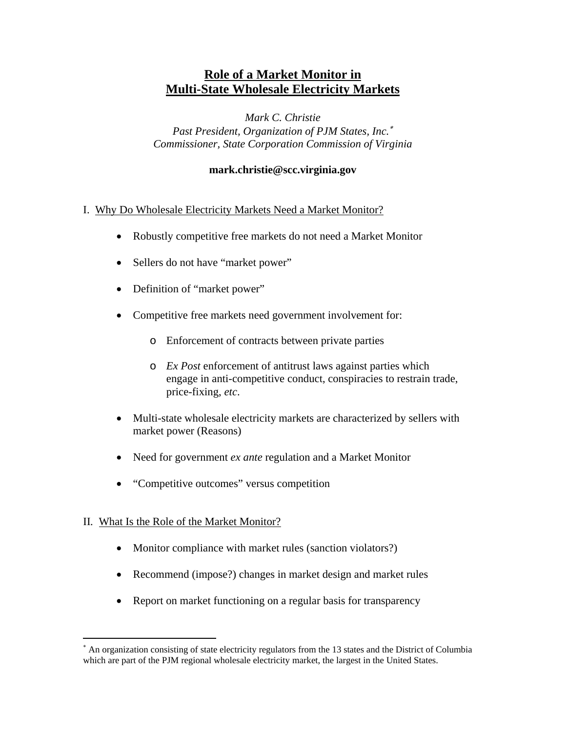# **Role of a Market Monitor in Multi-State Wholesale Electricity Markets**

*Mark C. Christie* 

*Past President, Organization of PJM States, Inc.*<sup>∗</sup> *Commissioner, State Corporation Commission of Virginia* 

#### **mark.christie@scc.virginia.gov**

#### I.Why Do Wholesale Electricity Markets Need a Market Monitor?

- Robustly competitive free markets do not need a Market Monitor
- Sellers do not have "market power"
- Definition of "market power"
- Competitive free markets need government involvement for:
	- o Enforcement of contracts between private parties
	- o *Ex Post* enforcement of antitrust laws against parties which engage in anti-competitive conduct, conspiracies to restrain trade, price-fixing, *etc*.
- Multi-state wholesale electricity markets are characterized by sellers with market power (Reasons)
- Need for government *ex ante* regulation and a Market Monitor
- "Competitive outcomes" versus competition

## II*.* What Is the Role of the Market Monitor?

 $\overline{a}$ 

- Monitor compliance with market rules (sanction violators?)
- Recommend (impose?) changes in market design and market rules
- Report on market functioning on a regular basis for transparency

<sup>∗</sup> An organization consisting of state electricity regulators from the 13 states and the District of Columbia which are part of the PJM regional wholesale electricity market, the largest in the United States.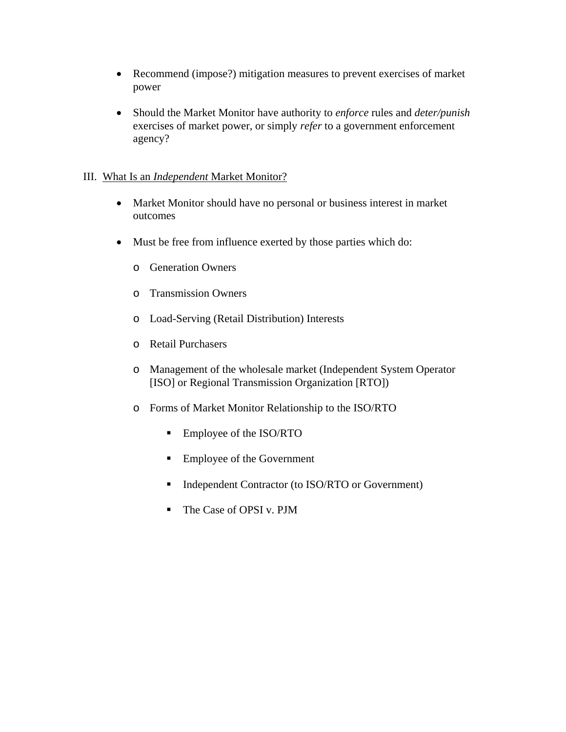- Recommend (impose?) mitigation measures to prevent exercises of market power
- Should the Market Monitor have authority to *enforce* rules and *deter/punish* exercises of market power, or simply *refer* to a government enforcement agency?

### III. What Is an *Independent* Market Monitor?

- Market Monitor should have no personal or business interest in market outcomes
- Must be free from influence exerted by those parties which do:
	- o Generation Owners
	- o Transmission Owners
	- o Load-Serving (Retail Distribution) Interests
	- o Retail Purchasers
	- o Management of the wholesale market (Independent System Operator [ISO] or Regional Transmission Organization [RTO])
	- o Forms of Market Monitor Relationship to the ISO/RTO
		- Employee of the ISO/RTO
		- Employee of the Government
		- Independent Contractor (to ISO/RTO or Government)
		- The Case of OPSI v. PJM